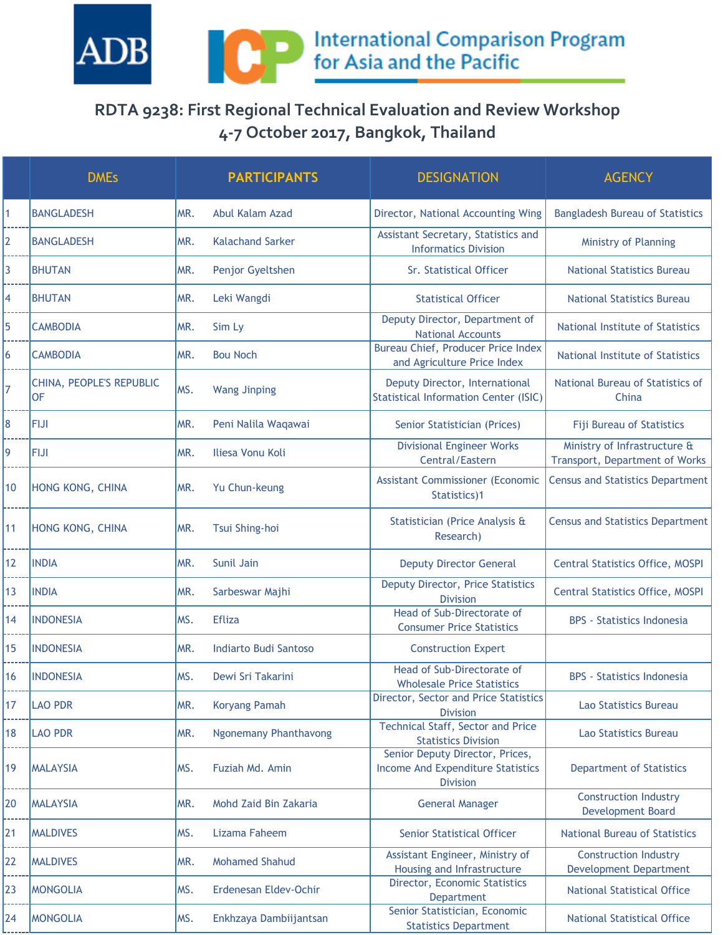

## **RDTA 9238: First Regional Technical Evaluation and Review Workshop 4-7 October 2017, Bangkok, Thailand**

|                | <b>DMEs</b>                    |      | <b>PARTICIPANTS</b>          | <b>DESIGNATION</b>                                                                             | <b>AGENCY</b>                                                  |
|----------------|--------------------------------|------|------------------------------|------------------------------------------------------------------------------------------------|----------------------------------------------------------------|
| $\mathbf{1}$   | <b>BANGLADESH</b>              | MR.  | Abul Kalam Azad              | Director, National Accounting Wing                                                             | <b>Bangladesh Bureau of Statistics</b>                         |
| $\overline{2}$ | <b>BANGLADESH</b>              | MR.  | <b>Kalachand Sarker</b>      | Assistant Secretary, Statistics and<br><b>Informatics Division</b>                             | <b>Ministry of Planning</b>                                    |
| 3              | <b>BHUTAN</b>                  | MR.  | Penjor Gyeltshen             | Sr. Statistical Officer                                                                        | <b>National Statistics Bureau</b>                              |
| 4              | <b>BHUTAN</b>                  | MR.  | Leki Wangdi                  | <b>Statistical Officer</b>                                                                     | <b>National Statistics Bureau</b>                              |
| 5              | <b>CAMBODIA</b>                | MR.  | Sim Ly                       | Deputy Director, Department of<br><b>National Accounts</b>                                     | <b>National Institute of Statistics</b>                        |
| 6              | <b>CAMBODIA</b>                | MR.  | <b>Bou Noch</b>              | <b>Bureau Chief, Producer Price Index</b><br>and Agriculture Price Index                       | <b>National Institute of Statistics</b>                        |
| $\overline{7}$ | CHINA, PEOPLE'S REPUBLIC<br>OF | MS.  | <b>Wang Jinping</b>          | Deputy Director, International<br><b>Statistical Information Center (ISIC)</b>                 | National Bureau of Statistics of<br>China                      |
| 8              | <b>FIJI</b>                    | MR.  | Peni Nalila Waqawai          | Senior Statistician (Prices)                                                                   | <b>Fiji Bureau of Statistics</b>                               |
| 9              | <b>FIJI</b>                    | MR.  | Iliesa Vonu Koli             | <b>Divisional Engineer Works</b><br>Central/Eastern                                            | Ministry of Infrastructure &<br>Transport, Department of Works |
| 10             | HONG KONG, CHINA               | MR.  | Yu Chun-keung                | <b>Assistant Commissioner (Economic</b><br>Statistics)1                                        | Census and Statistics Department                               |
| 11             | HONG KONG, CHINA               | MR.  | Tsui Shing-hoi               | Statistician (Price Analysis &<br>Research)                                                    | <b>Census and Statistics Department</b>                        |
| 12             | <b>INDIA</b>                   | MR.  | Sunil Jain                   | <b>Deputy Director General</b>                                                                 | <b>Central Statistics Office, MOSPI</b>                        |
| 13             | <b>INDIA</b>                   | MR.  | Sarbeswar Majhi              | Deputy Director, Price Statistics<br><b>Division</b>                                           | <b>Central Statistics Office, MOSPI</b>                        |
| 14             | <b>INDONESIA</b>               | MS.  | <b>Efliza</b>                | Head of Sub-Directorate of<br><b>Consumer Price Statistics</b>                                 | <b>BPS</b> - Statistics Indonesia                              |
| 15             | <b>INDONESIA</b>               | MR.  | <b>Indiarto Budi Santoso</b> | <b>Construction Expert</b>                                                                     |                                                                |
| 16             | <b>INDONESIA</b>               | MS.  | Dewi Sri Takarini            | Head of Sub-Directorate of<br><b>Wholesale Price Statistics</b>                                | <b>BPS</b> - Statistics Indonesia                              |
| 17             | <b>LAO PDR</b>                 | MR.  | <b>Koryang Pamah</b>         | Director, Sector and Price Statistics<br><b>Division</b>                                       | Lao Statistics Bureau                                          |
| 18             | <b>LAO PDR</b>                 | MR.  | <b>Ngonemany Phanthavong</b> | <b>Technical Staff, Sector and Price</b><br><b>Statistics Division</b>                         | Lao Statistics Bureau                                          |
| 19             | <b>MALAYSIA</b>                | IMS. | Fuziah Md. Amin              | Senior Deputy Director, Prices,<br><b>Income And Expenditure Statistics</b><br><b>Division</b> | <b>Department of Statistics</b>                                |
| 20             | <b>MALAYSIA</b>                | MR.  | Mohd Zaid Bin Zakaria        | <b>General Manager</b>                                                                         | <b>Construction Industry</b><br><b>Development Board</b>       |
| 21             | <b>MALDIVES</b>                | MS.  | Lizama Faheem                | <b>Senior Statistical Officer</b>                                                              | <b>National Bureau of Statistics</b>                           |
| 22             | <b>MALDIVES</b>                | MR.  | <b>Mohamed Shahud</b>        | Assistant Engineer, Ministry of<br>Housing and Infrastructure                                  | <b>Construction Industry</b><br><b>Development Department</b>  |
| 23             | <b>MONGOLIA</b>                | MS.  | Erdenesan Eldev-Ochir        | Director, Economic Statistics<br>Department                                                    | <b>National Statistical Office</b>                             |
| 24             | <b>MONGOLIA</b>                | MS.  | Enkhzaya Dambiijantsan       | Senior Statistician, Economic<br><b>Statistics Department</b>                                  | <b>National Statistical Office</b>                             |